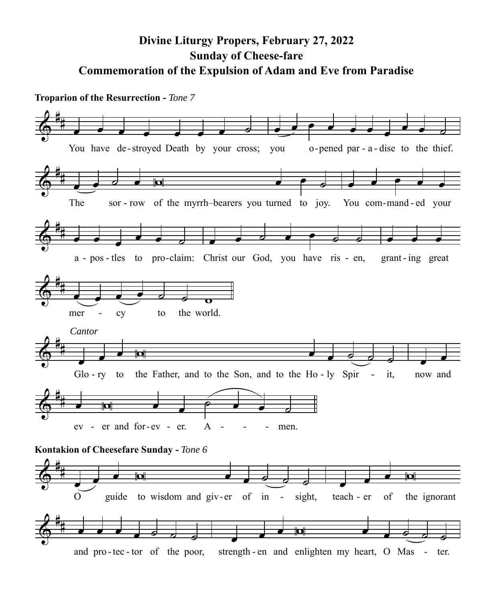## **Divine Liturgy Propers, February 27, 2022 Sunday of Cheese-fare Commemoration of the Expulsion of Adam and Eve from Paradise**